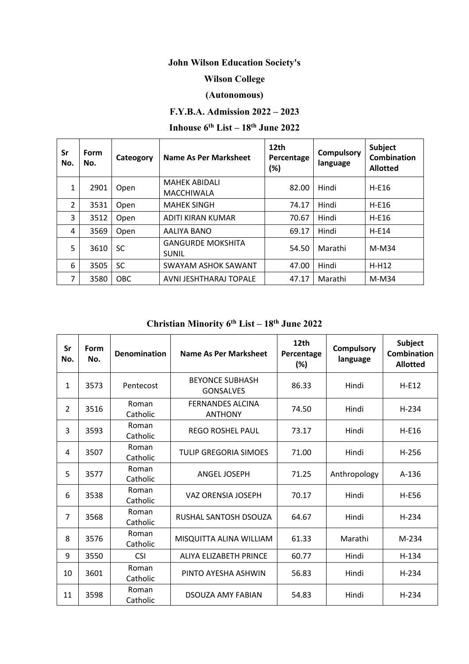# **John Wilson Education Society's**

### **Wilson College**

#### **(Autonomous)**

### **F.Y.B.A. Admission 2022 – 2023**

# **Inhouse 6th List – 18th June 2022**

| Sr<br>No.      | Form<br>No. | Cateogory  | <b>Name As Per Marksheet</b>              | 12 <sub>th</sub><br>Percentage<br>(%) | <b>Compulsory</b><br>language | Subject<br><b>Combination</b><br><b>Allotted</b> |
|----------------|-------------|------------|-------------------------------------------|---------------------------------------|-------------------------------|--------------------------------------------------|
| 1              | 2901        | Open       | <b>MAHEK ABIDALI</b><br><b>MACCHIWALA</b> | 82.00                                 | Hindi                         | $H-E16$                                          |
| $\overline{2}$ | 3531        | Open       | <b>MAHEK SINGH</b>                        | 74.17                                 | Hindi                         | $H-E16$                                          |
| 3              | 3512        | Open       | ADITI KIRAN KUMAR                         | 70.67                                 | Hindi                         | $H-E16$                                          |
| 4              | 3569        | Open       | AALIYA BANO                               | 69.17                                 | Hindi                         | $H-E14$                                          |
| 5              | 3610        | <b>SC</b>  | <b>GANGURDE MOKSHITA</b><br><b>SUNIL</b>  | 54.50                                 | Marathi                       | $M-M34$                                          |
| 6              | 3505        | <b>SC</b>  | <b>SWAYAM ASHOK SAWANT</b>                | 47.00                                 | Hindi                         | $H-H12$                                          |
| 7              | 3580        | <b>OBC</b> | AVNI JESHTHARAJ TOPALE                    | 47.17                                 | Marathi                       | $M-M34$                                          |

# **Christian Minority 6th List – 18th June 2022**

| Sr<br>No.      | Form<br>No. | <b>Denomination</b> | Name As Per Marksheet                      | 12th<br>Percentage<br>$(\%)$ | <b>Compulsory</b><br>language | <b>Subject</b><br>Combination<br><b>Allotted</b> |
|----------------|-------------|---------------------|--------------------------------------------|------------------------------|-------------------------------|--------------------------------------------------|
| 1              | 3573        | Pentecost           | <b>BEYONCE SUBHASH</b><br><b>GONSALVES</b> | 86.33                        | Hindi                         | $H-E12$                                          |
| 2              | 3516        | Roman<br>Catholic   | <b>FERNANDES ALCINA</b><br><b>ANTHONY</b>  | 74.50                        | Hindi                         | $H-234$                                          |
| 3              | 3593        | Roman<br>Catholic   | <b>REGO ROSHEL PAUL</b>                    | 73.17                        | Hindi                         | $H-E16$                                          |
| 4              | 3507        | Roman<br>Catholic   | <b>TULIP GREGORIA SIMOES</b>               | 71.00                        | Hindi                         | $H-256$                                          |
| 5              | 3577        | Roman<br>Catholic   | <b>ANGEL JOSEPH</b>                        | 71.25                        | Anthropology                  | $A-136$                                          |
| 6              | 3538        | Roman<br>Catholic   | VAZ ORENSIA JOSEPH                         | 70.17                        | Hindi                         | <b>H-E56</b>                                     |
| $\overline{7}$ | 3568        | Roman<br>Catholic   | RUSHAL SANTOSH DSOUZA                      | 64.67                        | Hindi                         | $H-234$                                          |
| 8              | 3576        | Roman<br>Catholic   | MISQUITTA ALINA WILLIAM                    | 61.33                        | Marathi                       | M-234                                            |
| 9              | 3550        | <b>CSI</b>          | ALIYA ELIZABETH PRINCE                     | 60.77                        | Hindi                         | $H-134$                                          |
| 10             | 3601        | Roman<br>Catholic   | PINTO AYESHA ASHWIN                        | 56.83                        | Hindi                         | $H-234$                                          |
| 11             | 3598        | Roman<br>Catholic   | <b>DSOUZA AMY FABIAN</b>                   | 54.83                        | Hindi                         | $H-234$                                          |